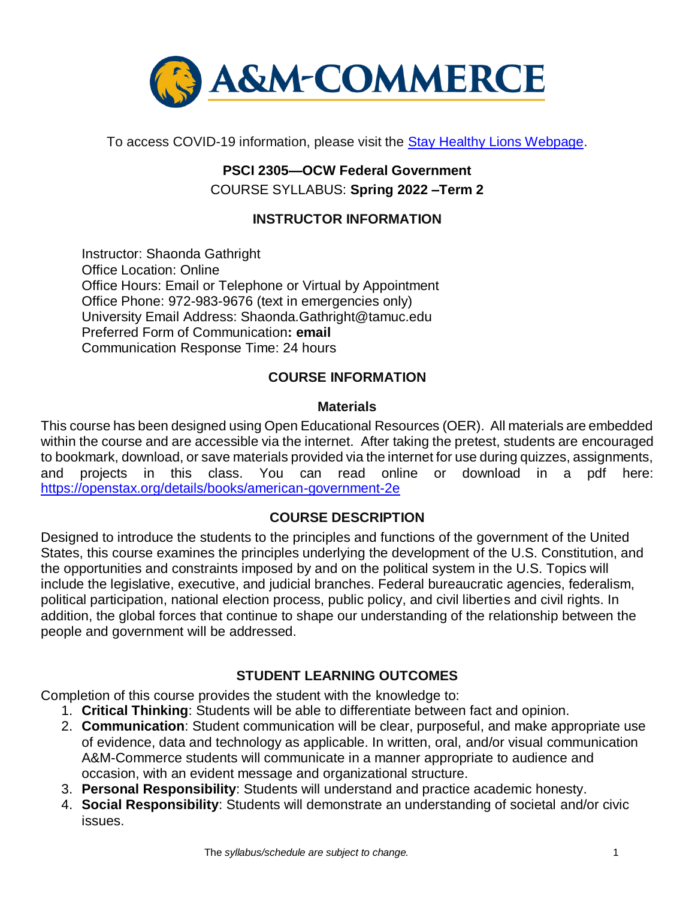

To access COVID-19 information, please visit the [Stay Healthy Lions Webpage.](https://new.tamuc.edu/coronavirus/)

# **PSCI 2305—OCW Federal Government** COURSE SYLLABUS: **Spring 2022 –Term 2**

### **INSTRUCTOR INFORMATION**

Instructor: Shaonda Gathright Office Location: Online Office Hours: Email or Telephone or Virtual by Appointment Office Phone: 972-983-9676 (text in emergencies only) University Email Address: Shaonda.Gathright@tamuc.edu Preferred Form of Communication**: email** Communication Response Time: 24 hours

#### **COURSE INFORMATION**

#### **Materials**

This course has been designed using Open Educational Resources (OER). All materials are embedded within the course and are accessible via the internet. After taking the pretest, students are encouraged to bookmark, download, or save materials provided via the internet for use during quizzes, assignments, and projects in this class. You can read online or download in a pdf here: <https://openstax.org/details/books/american-government-2e>

#### **[COURSE DESCRIPTION](http://catalog.tamuc.edu/undergrad/colleges-and-departments/college-of-innovation-design/baas-organizational-leadership/?_ga=2.81546143.928332977.1616426723-584154711.1595512675)**

Designed to introduce the students to the principles and functions of the government of the United States, this course examines the principles underlying the development of the U.S. Constitution, and the opportunities and constraints imposed by and on the political system in the U.S. Topics will include the legislative, executive, and judicial branches. Federal bureaucratic agencies, federalism, political participation, national election process, public policy, and civil liberties and civil rights. In addition, the global forces that continue to shape our understanding of the relationship between the people and government will be addressed.

#### **STUDENT LEARNING OUTCOMES**

Completion of this course provides the student with the knowledge to:

- 1. **Critical Thinking**: Students will be able to differentiate between fact and opinion.
- 2. **Communication**: Student communication will be clear, purposeful, and make appropriate use of evidence, data and technology as applicable. In written, oral, and/or visual communication A&M-Commerce students will communicate in a manner appropriate to audience and occasion, with an evident message and organizational structure.
- 3. **Personal Responsibility**: Students will understand and practice academic honesty.
- 4. **Social Responsibility**: Students will demonstrate an understanding of societal and/or civic issues.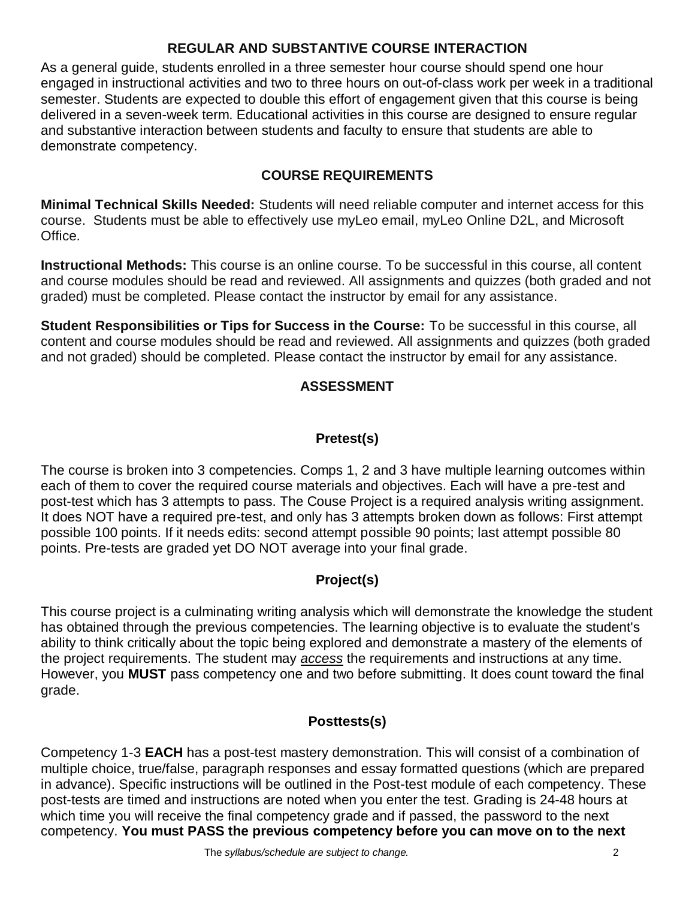#### **REGULAR AND SUBSTANTIVE COURSE INTERACTION**

As a general guide, students enrolled in a three semester hour course should spend one hour engaged in instructional activities and two to three hours on out-of-class work per week in a traditional semester. Students are expected to double this effort of engagement given that this course is being delivered in a seven-week term. Educational activities in this course are designed to ensure regular and substantive interaction between students and faculty to ensure that students are able to demonstrate competency.

### **COURSE REQUIREMENTS**

**Minimal Technical Skills Needed:** Students will need reliable computer and internet access for this course. Students must be able to effectively use myLeo email, myLeo Online D2L, and Microsoft Office.

**Instructional Methods:** This course is an online course. To be successful in this course, all content and course modules should be read and reviewed. All assignments and quizzes (both graded and not graded) must be completed. Please contact the instructor by email for any assistance.

**Student Responsibilities or Tips for Success in the Course:** To be successful in this course, all content and course modules should be read and reviewed. All assignments and quizzes (both graded and not graded) should be completed. Please contact the instructor by email for any assistance.

## **ASSESSMENT**

## **Pretest(s)**

The course is broken into 3 competencies. Comps 1, 2 and 3 have multiple learning outcomes within each of them to cover the required course materials and objectives. Each will have a pre-test and post-test which has 3 attempts to pass. The Couse Project is a required analysis writing assignment. It does NOT have a required pre-test, and only has 3 attempts broken down as follows: First attempt possible 100 points. If it needs edits: second attempt possible 90 points; last attempt possible 80 points. Pre-tests are graded yet DO NOT average into your final grade.

## **Project(s)**

This course project is a culminating writing analysis which will demonstrate the knowledge the student has obtained through the previous competencies. The learning objective is to evaluate the student's ability to think critically about the topic being explored and demonstrate a mastery of the elements of the project requirements. The student may *access* the requirements and instructions at any time. However, you **MUST** pass competency one and two before submitting. It does count toward the final grade.

## **Posttests(s)**

Competency 1-3 **EACH** has a post-test mastery demonstration. This will consist of a combination of multiple choice, true/false, paragraph responses and essay formatted questions (which are prepared in advance). Specific instructions will be outlined in the Post-test module of each competency. These post-tests are timed and instructions are noted when you enter the test. Grading is 24-48 hours at which time you will receive the final competency grade and if passed, the password to the next competency. **You must PASS the previous competency before you can move on to the next**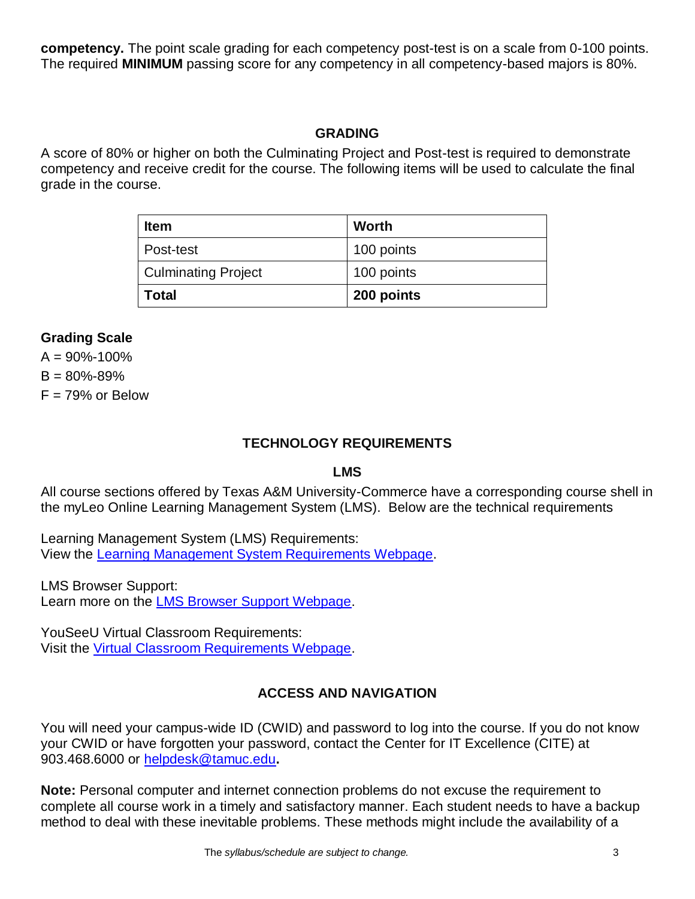**competency.** The point scale grading for each competency post-test is on a scale from 0-100 points. The required **MINIMUM** passing score for any competency in all competency-based majors is 80%.

#### **GRADING**

A score of 80% or higher on both the Culminating Project and Post-test is required to demonstrate competency and receive credit for the course. The following items will be used to calculate the final grade in the course.

| <b>Item</b>                | <b>Worth</b> |
|----------------------------|--------------|
| Post-test                  | 100 points   |
| <b>Culminating Project</b> | 100 points   |
| Total                      | 200 points   |

#### **Grading Scale**

 $A = 90\% - 100\%$  $B = 80\% - 89\%$  $F = 79\%$  or Below

#### **TECHNOLOGY REQUIREMENTS**

#### **LMS**

All course sections offered by Texas A&M University-Commerce have a corresponding course shell in the myLeo Online Learning Management System (LMS). Below are the technical requirements

Learning Management System (LMS) Requirements: View the [Learning Management System Requirements Webpage.](https://community.brightspace.com/s/article/Brightspace-Platform-Requirements)

LMS Browser Support: Learn more on the [LMS Browser Support Webpage.](https://documentation.brightspace.com/EN/brightspace/requirements/all/browser_support.htm)

YouSeeU Virtual Classroom Requirements: Visit the [Virtual Classroom Requirements Webpage.](https://support.youseeu.com/hc/en-us/articles/115007031107-Basic-System-Requirements)

## **ACCESS AND NAVIGATION**

You will need your campus-wide ID (CWID) and password to log into the course. If you do not know your CWID or have forgotten your password, contact the Center for IT Excellence (CITE) at 903.468.6000 or [helpdesk@tamuc.edu](mailto:helpdesk@tamuc.edu)**.**

**Note:** Personal computer and internet connection problems do not excuse the requirement to complete all course work in a timely and satisfactory manner. Each student needs to have a backup method to deal with these inevitable problems. These methods might include the availability of a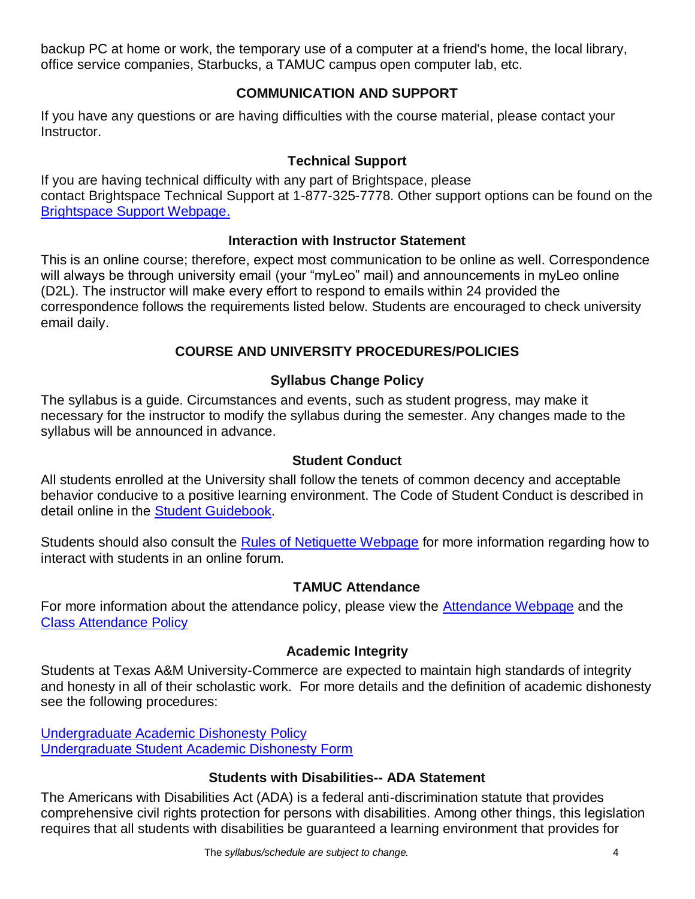backup PC at home or work, the temporary use of a computer at a friend's home, the local library, office service companies, Starbucks, a TAMUC campus open computer lab, etc.

#### **COMMUNICATION AND SUPPORT**

If you have any questions or are having difficulties with the course material, please contact your Instructor.

#### **Technical Support**

If you are having technical difficulty with any part of Brightspace, please contact Brightspace Technical Support at 1-877-325-7778. Other support options can be found on the [Brightspace Support Webpage.](https://community.brightspace.com/support/s/contactsupport)

#### **Interaction with Instructor Statement**

This is an online course; therefore, expect most communication to be online as well. Correspondence will always be through university email (your "myLeo" mail) and announcements in myLeo online (D2L). The instructor will make every effort to respond to emails within 24 provided the correspondence follows the requirements listed below. Students are encouraged to check university email daily.

### **COURSE AND UNIVERSITY PROCEDURES/POLICIES**

## **Syllabus Change Policy**

The syllabus is a guide. Circumstances and events, such as student progress, may make it necessary for the instructor to modify the syllabus during the semester. Any changes made to the syllabus will be announced in advance.

#### **Student Conduct**

All students enrolled at the University shall follow the tenets of common decency and acceptable behavior conducive to a positive learning environment. The Code of Student Conduct is described in detail online in the **Student Guidebook**.

Students should also consult the **Rules of Netiquette Webpage** for more information regarding how to interact with students in an online forum.

#### **TAMUC Attendance**

For more information about the attendance policy, please view the [Attendance Webpage](http://www.tamuc.edu/admissions/registrar/generalInformation/attendance.aspx) and the [Class Attendance Policy](http://www.tamuc.edu/aboutUs/policiesProceduresStandardsStatements/rulesProcedures/13students/academic/13.99.99.R0.01.pdf)

#### **Academic Integrity**

Students at Texas A&M University-Commerce are expected to maintain high standards of integrity and honesty in all of their scholastic work. For more details and the definition of academic dishonesty see the following procedures:

[Undergraduate Academic Dishonesty P](http://www.tamuc.edu/aboutUs/policiesProceduresStandardsStatements/rulesProcedures/13students/undergraduates/13.99.99.R0.03UndergraduateAcademicDishonesty.pdf)olicy [Undergraduate Student Academic Dishonesty Form](http://www.tamuc.edu/aboutUs/policiesProceduresStandardsStatements/rulesProcedures/documents/13.99.99.R0.03UndergraduateStudentAcademicDishonestyForm.pdf)

#### **Students with Disabilities-- ADA Statement**

The Americans with Disabilities Act (ADA) is a federal anti-discrimination statute that provides comprehensive civil rights protection for persons with disabilities. Among other things, this legislation requires that all students with disabilities be guaranteed a learning environment that provides for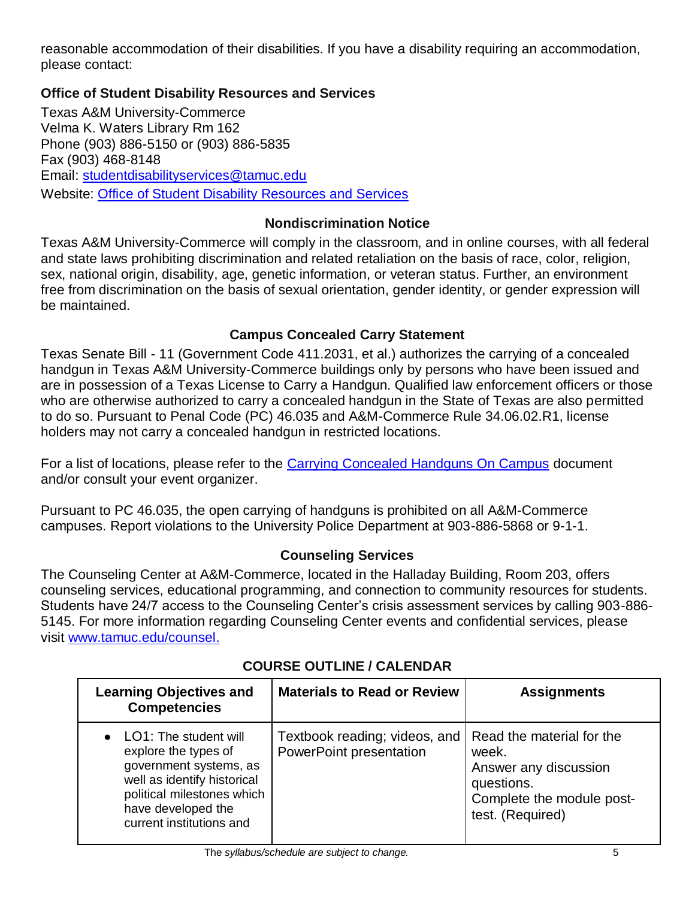reasonable accommodation of their disabilities. If you have a disability requiring an accommodation, please contact:

#### **Office of Student Disability Resources and Services**

Texas A&M University-Commerce Velma K. Waters Library Rm 162 Phone (903) 886-5150 or (903) 886-5835 Fax (903) 468-8148 Email: [studentdisabilityservices@tamuc.edu](mailto:studentdisabilityservices@tamuc.edu) Website: [Office of Student Disability Resources and Services](http://www.tamuc.edu/campusLife/campusServices/studentDisabilityResourcesAndServices/)

### **Nondiscrimination Notice**

Texas A&M University-Commerce will comply in the classroom, and in online courses, with all federal and state laws prohibiting discrimination and related retaliation on the basis of race, color, religion, sex, national origin, disability, age, genetic information, or veteran status. Further, an environment free from discrimination on the basis of sexual orientation, gender identity, or gender expression will be maintained.

### **Campus Concealed Carry Statement**

Texas Senate Bill - 11 (Government Code 411.2031, et al.) authorizes the carrying of a concealed handgun in Texas A&M University-Commerce buildings only by persons who have been issued and are in possession of a Texas License to Carry a Handgun. Qualified law enforcement officers or those who are otherwise authorized to carry a concealed handgun in the State of Texas are also permitted to do so. Pursuant to Penal Code (PC) 46.035 and A&M-Commerce Rule 34.06.02.R1, license holders may not carry a concealed handgun in restricted locations.

For a list of locations, please refer to the [Carrying Concealed Handguns On Campus](http://www.tamuc.edu/aboutUs/policiesProceduresStandardsStatements/rulesProcedures/34SafetyOfEmployeesAndStudents/34.06.02.R1.pdf) document and/or consult your event organizer.

Pursuant to PC 46.035, the open carrying of handguns is prohibited on all A&M-Commerce campuses. Report violations to the University Police Department at 903-886-5868 or 9-1-1.

## **Counseling Services**

The Counseling Center at A&M-Commerce, located in the Halladay Building, Room 203, offers counseling services, educational programming, and connection to community resources for students. Students have 24/7 access to the Counseling Center's crisis assessment services by calling 903-886- 5145. For more information regarding Counseling Center events and confidential services, please visit [www.tamuc.edu/counsel.](http://www.tamuc.edu/counsel)

| <b>Learning Objectives and</b><br><b>Competencies</b>                                                                                                                                    | <b>Materials to Read or Review</b>                       | <b>Assignments</b>                                                                                                         |
|------------------------------------------------------------------------------------------------------------------------------------------------------------------------------------------|----------------------------------------------------------|----------------------------------------------------------------------------------------------------------------------------|
| • LO1: The student will<br>explore the types of<br>government systems, as<br>well as identify historical<br>political milestones which<br>have developed the<br>current institutions and | Textbook reading; videos, and<br>PowerPoint presentation | Read the material for the<br>week.<br>Answer any discussion<br>questions.<br>Complete the module post-<br>test. (Required) |

## **COURSE OUTLINE / CALENDAR**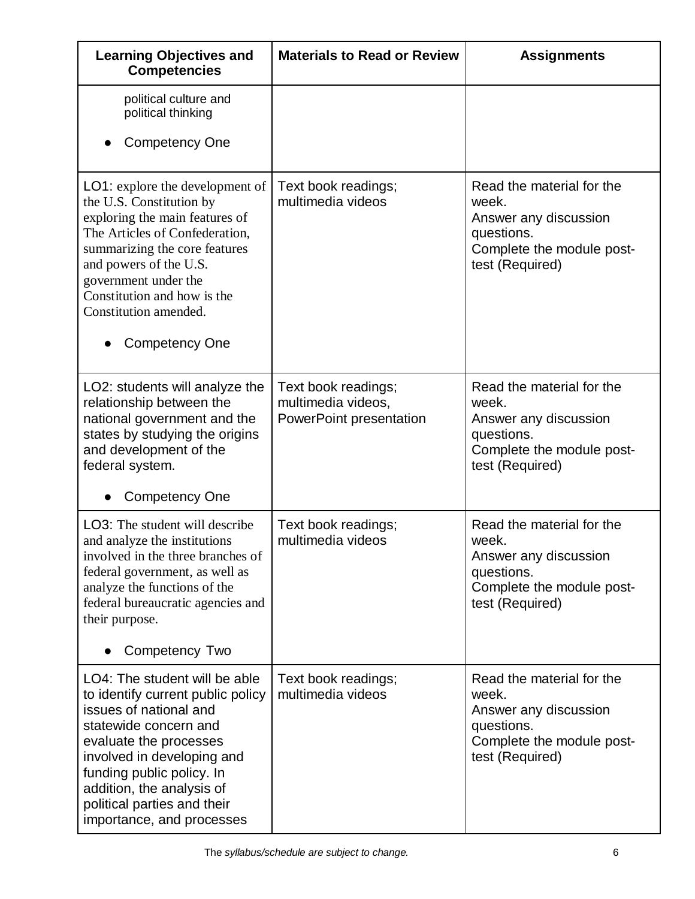| <b>Learning Objectives and</b><br><b>Competencies</b>                                                                                                                                                                                                                                                      | <b>Materials to Read or Review</b>                                   | <b>Assignments</b>                                                                                                        |
|------------------------------------------------------------------------------------------------------------------------------------------------------------------------------------------------------------------------------------------------------------------------------------------------------------|----------------------------------------------------------------------|---------------------------------------------------------------------------------------------------------------------------|
| political culture and<br>political thinking<br><b>Competency One</b>                                                                                                                                                                                                                                       |                                                                      |                                                                                                                           |
| <b>LO1:</b> explore the development of<br>the U.S. Constitution by<br>exploring the main features of<br>The Articles of Confederation,<br>summarizing the core features<br>and powers of the U.S.<br>government under the<br>Constitution and how is the<br>Constitution amended.<br><b>Competency One</b> | Text book readings;<br>multimedia videos                             | Read the material for the<br>week.<br>Answer any discussion<br>questions.<br>Complete the module post-<br>test (Required) |
| LO2: students will analyze the<br>relationship between the<br>national government and the<br>states by studying the origins<br>and development of the<br>federal system.<br><b>Competency One</b>                                                                                                          | Text book readings;<br>multimedia videos,<br>PowerPoint presentation | Read the material for the<br>week.<br>Answer any discussion<br>questions.<br>Complete the module post-<br>test (Required) |
| <b>LO3:</b> The student will describe<br>and analyze the institutions<br>involved in the three branches of<br>federal government, as well as<br>analyze the functions of the<br>federal bureaucratic agencies and<br>their purpose.<br>Competency Two                                                      | Text book readings;<br>multimedia videos                             | Read the material for the<br>week.<br>Answer any discussion<br>questions.<br>Complete the module post-<br>test (Required) |
| LO4: The student will be able<br>to identify current public policy<br>issues of national and<br>statewide concern and<br>evaluate the processes<br>involved in developing and<br>funding public policy. In<br>addition, the analysis of<br>political parties and their<br>importance, and processes        | Text book readings;<br>multimedia videos                             | Read the material for the<br>week.<br>Answer any discussion<br>questions.<br>Complete the module post-<br>test (Required) |